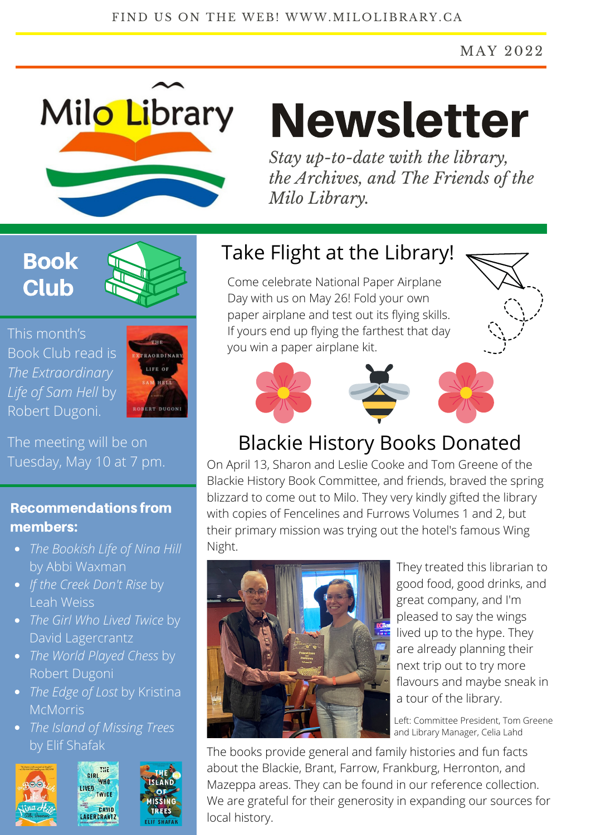#### MAY 2022



# Newsletter

*Stay up-to-date with the library, the Archives, and The Friends of the Milo Library.*

# Book **Club**



This month's Book Club read is *The Extraordinary Life of Sam Hell* by Robert Dugoni.



The meeting will be on Tuesday, May 10 at 7 pm.

### Recommendations from members:

- *The Bookish Life of Nina Hill* by Abbi Waxman
- *If the Creek Don't Rise* by Leah Weiss
- *The Girl Who Lived Twice* by David Lagercrantz
- *The World Played Chess* by Robert Dugoni
- *The Edge of Lost* by Kristina **McMorris**
- *The Island of Missing Trees* by Elif Shafak



# Take Flight at the Library!

Come celebrate National Paper Airplane Day with us on May 26! Fold your own paper airplane and test out its flying skills. If yours end up flying the farthest that day you win a paper airplane kit.



# Blackie History Books Donated

On April 13, Sharon and Leslie Cooke and Tom Greene of the Blackie History Book Committee, and friends, braved the spring blizzard to come out to Milo. They very kindly gifted the library with copies of Fencelines and Furrows Volumes 1 and 2, but their primary mission was trying out the hotel's famous Wing Night.



They treated this librarian to good food, good drinks, and great company, and I'm pleased to say the wings lived up to the hype. They are already planning their next trip out to try more flavours and maybe sneak in a tour of the library.

Left: Committee President, Tom Greene and Library Manager, Celia Lahd

The books provide general and family histories and fun facts about the Blackie, Brant, Farrow, Frankburg, Herronton, and Mazeppa areas. They can be found in our reference collection. We are grateful for their generosity in expanding our sources for local history.